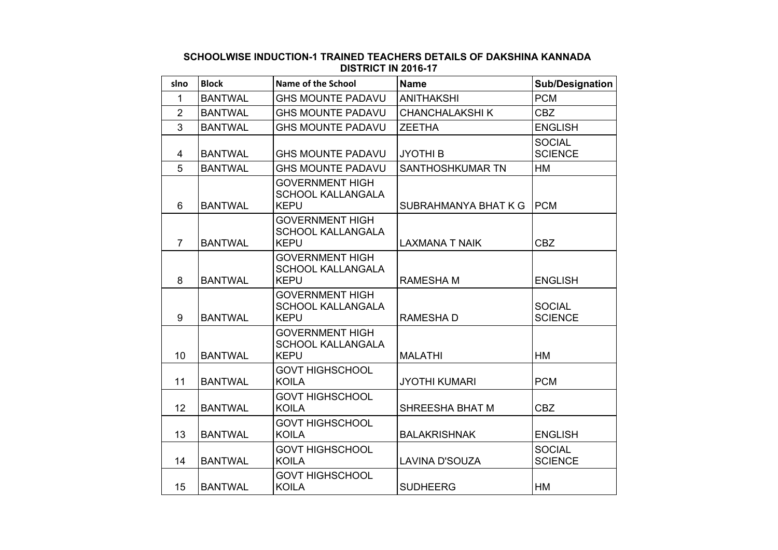## **SCHOOLWISE INDUCTION-1 TRAINED TEACHERS DETAILS OF DAKSHINA KANNADA DISTRICT IN 2016-17**

| slno           | <b>Block</b>   | <b>Name of the School</b>                                         | <b>Name</b>             | <b>Sub/Designation</b>          |
|----------------|----------------|-------------------------------------------------------------------|-------------------------|---------------------------------|
| 1              | <b>BANTWAL</b> | <b>GHS MOUNTE PADAVU</b>                                          | <b>ANITHAKSHI</b>       | <b>PCM</b>                      |
| $\overline{2}$ | <b>BANTWAL</b> | <b>GHS MOUNTE PADAVU</b>                                          | <b>CHANCHALAKSHIK</b>   | <b>CBZ</b>                      |
| $\overline{3}$ | <b>BANTWAL</b> | <b>GHS MOUNTE PADAVU</b>                                          | <b>ZEETHA</b>           | <b>ENGLISH</b>                  |
| $\overline{4}$ | <b>BANTWAL</b> | <b>GHS MOUNTE PADAVU</b>                                          | <b>JYOTHI B</b>         | <b>SOCIAL</b><br><b>SCIENCE</b> |
| 5              | <b>BANTWAL</b> | <b>GHS MOUNTE PADAVU</b>                                          | <b>SANTHOSHKUMAR TN</b> | <b>HM</b>                       |
| 6              | <b>BANTWAL</b> | <b>GOVERNMENT HIGH</b><br><b>SCHOOL KALLANGALA</b><br><b>KEPU</b> | SUBRAHMANYA BHAT K G    | <b>PCM</b>                      |
| $\overline{7}$ | <b>BANTWAL</b> | <b>GOVERNMENT HIGH</b><br><b>SCHOOL KALLANGALA</b><br><b>KEPU</b> | <b>LAXMANA T NAIK</b>   | <b>CBZ</b>                      |
| 8              | <b>BANTWAL</b> | <b>GOVERNMENT HIGH</b><br><b>SCHOOL KALLANGALA</b><br><b>KEPU</b> | <b>RAMESHAM</b>         | <b>ENGLISH</b>                  |
| 9              | <b>BANTWAL</b> | <b>GOVERNMENT HIGH</b><br><b>SCHOOL KALLANGALA</b><br><b>KEPU</b> | <b>RAMESHAD</b>         | <b>SOCIAL</b><br><b>SCIENCE</b> |
| 10             | <b>BANTWAL</b> | <b>GOVERNMENT HIGH</b><br><b>SCHOOL KALLANGALA</b><br><b>KEPU</b> | <b>MALATHI</b>          | HM                              |
| 11             | <b>BANTWAL</b> | <b>GOVT HIGHSCHOOL</b><br><b>KOILA</b>                            | <b>JYOTHI KUMARI</b>    | <b>PCM</b>                      |
| 12             | <b>BANTWAL</b> | <b>GOVT HIGHSCHOOL</b><br><b>KOILA</b>                            | <b>SHREESHA BHAT M</b>  | <b>CBZ</b>                      |
| 13             | <b>BANTWAL</b> | <b>GOVT HIGHSCHOOL</b><br><b>KOILA</b>                            | <b>BALAKRISHNAK</b>     | <b>ENGLISH</b>                  |
| 14             | <b>BANTWAL</b> | <b>GOVT HIGHSCHOOL</b><br><b>KOILA</b>                            | LAVINA D'SOUZA          | <b>SOCIAL</b><br><b>SCIENCE</b> |
| 15             | <b>BANTWAL</b> | <b>GOVT HIGHSCHOOL</b><br><b>KOILA</b>                            | <b>SUDHEERG</b>         | <b>HM</b>                       |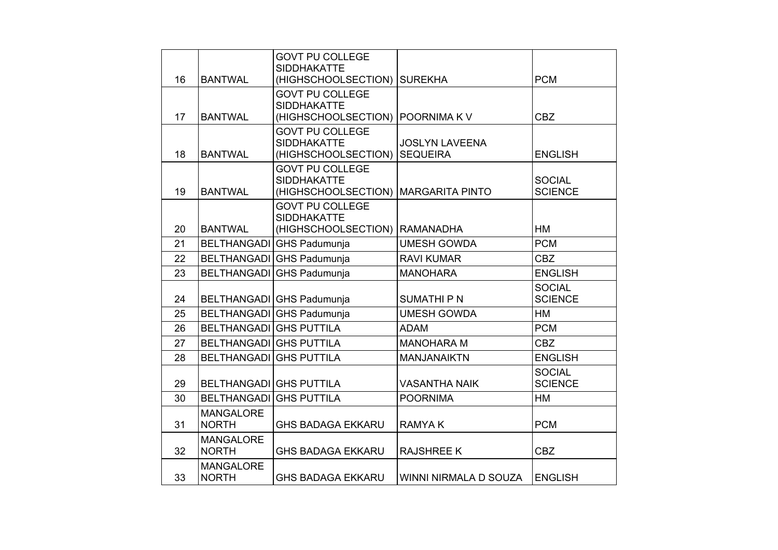|    |                                  | <b>GOVT PU COLLEGE</b>                                              |                        |                                 |
|----|----------------------------------|---------------------------------------------------------------------|------------------------|---------------------------------|
| 16 | <b>BANTWAL</b>                   | <b>SIDDHAKATTE</b><br>(HIGHSCHOOLSECTION)                           | <b>SUREKHA</b>         | <b>PCM</b>                      |
|    |                                  | <b>GOVT PU COLLEGE</b><br><b>SIDDHAKATTE</b>                        |                        |                                 |
| 17 | <b>BANTWAL</b>                   | (HIGHSCHOOLSECTION)                                                 | POORNIMA KV            | <b>CBZ</b>                      |
|    |                                  | <b>GOVT PU COLLEGE</b><br><b>SIDDHAKATTE</b>                        | <b>JOSLYN LAVEENA</b>  |                                 |
| 18 | <b>BANTWAL</b>                   | (HIGHSCHOOLSECTION)                                                 | <b>SEQUEIRA</b>        | <b>ENGLISH</b>                  |
| 19 | <b>BANTWAL</b>                   | <b>GOVT PU COLLEGE</b><br><b>SIDDHAKATTE</b><br>(HIGHSCHOOLSECTION) | <b>MARGARITA PINTO</b> | <b>SOCIAL</b><br><b>SCIENCE</b> |
| 20 | <b>BANTWAL</b>                   | <b>GOVT PU COLLEGE</b><br><b>SIDDHAKATTE</b><br>(HIGHSCHOOLSECTION) | <b>RAMANADHA</b>       | <b>HM</b>                       |
| 21 |                                  |                                                                     |                        | <b>PCM</b>                      |
|    |                                  | BELTHANGADI GHS Padumunja                                           | <b>UMESH GOWDA</b>     |                                 |
| 22 |                                  | BELTHANGADI GHS Padumunja                                           | <b>RAVI KUMAR</b>      | <b>CBZ</b>                      |
| 23 | <b>BELTHANGADI</b>               | GHS Padumunja                                                       | <b>MANOHARA</b>        | <b>ENGLISH</b>                  |
| 24 |                                  | BELTHANGADI GHS Padumunja                                           | <b>SUMATHIPN</b>       | <b>SOCIAL</b><br><b>SCIENCE</b> |
| 25 |                                  | BELTHANGADI GHS Padumunja                                           | <b>UMESH GOWDA</b>     | HM                              |
| 26 | <b>BELTHANGADI GHS PUTTILA</b>   |                                                                     | <b>ADAM</b>            | <b>PCM</b>                      |
| 27 | <b>BELTHANGADI GHS PUTTILA</b>   |                                                                     | <b>MANOHARA M</b>      | <b>CBZ</b>                      |
| 28 | BELTHANGADI GHS PUTTILA          |                                                                     | <b>MANJANAIKTN</b>     | <b>ENGLISH</b>                  |
| 29 | <b>BELTHANGADI GHS PUTTILA</b>   |                                                                     | <b>VASANTHA NAIK</b>   | <b>SOCIAL</b><br><b>SCIENCE</b> |
| 30 | <b>BELTHANGADI</b>               | <b>GHS PUTTILA</b>                                                  | <b>POORNIMA</b>        | <b>HM</b>                       |
| 31 | <b>MANGALORE</b><br><b>NORTH</b> | <b>GHS BADAGA EKKARU</b>                                            | <b>RAMYAK</b>          | <b>PCM</b>                      |
| 32 | <b>MANGALORE</b><br><b>NORTH</b> | <b>GHS BADAGA EKKARU</b>                                            | <b>RAJSHREE K</b>      | <b>CBZ</b>                      |
| 33 | <b>MANGALORE</b><br><b>NORTH</b> | <b>GHS BADAGA EKKARU</b>                                            | WINNI NIRMALA D SOUZA  | <b>ENGLISH</b>                  |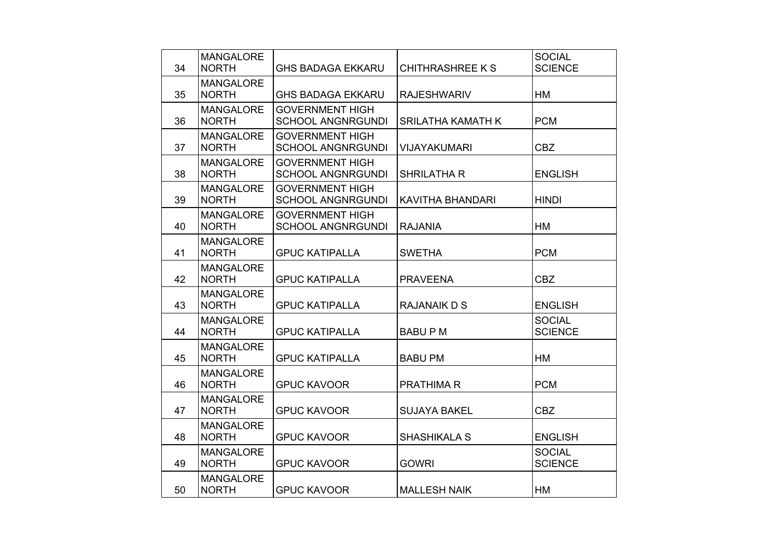| 34 | <b>MANGALORE</b><br><b>NORTH</b> | <b>GHS BADAGA EKKARU</b>                           | CHITHRASHREE K S         | <b>SOCIAL</b><br><b>SCIENCE</b> |
|----|----------------------------------|----------------------------------------------------|--------------------------|---------------------------------|
| 35 | <b>MANGALORE</b><br><b>NORTH</b> | <b>GHS BADAGA EKKARU</b>                           | <b>RAJESHWARIV</b>       | <b>HM</b>                       |
| 36 | <b>MANGALORE</b><br><b>NORTH</b> | <b>GOVERNMENT HIGH</b><br><b>SCHOOL ANGNRGUNDI</b> | <b>SRILATHA KAMATH K</b> | <b>PCM</b>                      |
| 37 | <b>MANGALORE</b><br><b>NORTH</b> | <b>GOVERNMENT HIGH</b><br><b>SCHOOL ANGNRGUNDI</b> | <b>VIJAYAKUMARI</b>      | <b>CBZ</b>                      |
| 38 | <b>MANGALORE</b><br><b>NORTH</b> | <b>GOVERNMENT HIGH</b><br><b>SCHOOL ANGNRGUNDI</b> | <b>SHRILATHA R</b>       | <b>ENGLISH</b>                  |
| 39 | <b>MANGALORE</b><br><b>NORTH</b> | <b>GOVERNMENT HIGH</b><br><b>SCHOOL ANGNRGUNDI</b> | <b>KAVITHA BHANDARI</b>  | <b>HINDI</b>                    |
| 40 | <b>MANGALORE</b><br><b>NORTH</b> | <b>GOVERNMENT HIGH</b><br><b>SCHOOL ANGNRGUNDI</b> | <b>RAJANIA</b>           | HM                              |
| 41 | <b>MANGALORE</b><br><b>NORTH</b> | <b>GPUC KATIPALLA</b>                              | <b>SWETHA</b>            | <b>PCM</b>                      |
| 42 | <b>MANGALORE</b><br><b>NORTH</b> | <b>GPUC KATIPALLA</b>                              | <b>PRAVEENA</b>          | <b>CBZ</b>                      |
| 43 | <b>MANGALORE</b><br><b>NORTH</b> | <b>GPUC KATIPALLA</b>                              | <b>RAJANAIK D S</b>      | <b>ENGLISH</b>                  |
| 44 | <b>MANGALORE</b><br><b>NORTH</b> | <b>GPUC KATIPALLA</b>                              | <b>BABUPM</b>            | <b>SOCIAL</b><br><b>SCIENCE</b> |
| 45 | <b>MANGALORE</b><br><b>NORTH</b> | <b>GPUC KATIPALLA</b>                              | <b>BABU PM</b>           | <b>HM</b>                       |
| 46 | <b>MANGALORE</b><br><b>NORTH</b> | <b>GPUC KAVOOR</b>                                 | <b>PRATHIMA R</b>        | <b>PCM</b>                      |
| 47 | <b>MANGALORE</b><br><b>NORTH</b> | <b>GPUC KAVOOR</b>                                 | <b>SUJAYA BAKEL</b>      | <b>CBZ</b>                      |
| 48 | <b>MANGALORE</b><br><b>NORTH</b> | <b>GPUC KAVOOR</b>                                 | <b>SHASHIKALA S</b>      | <b>ENGLISH</b>                  |
| 49 | <b>MANGALORE</b><br><b>NORTH</b> | <b>GPUC KAVOOR</b>                                 | <b>GOWRI</b>             | <b>SOCIAL</b><br><b>SCIENCE</b> |
| 50 | <b>MANGALORE</b><br><b>NORTH</b> | <b>GPUC KAVOOR</b>                                 | <b>MALLESH NAIK</b>      | <b>HM</b>                       |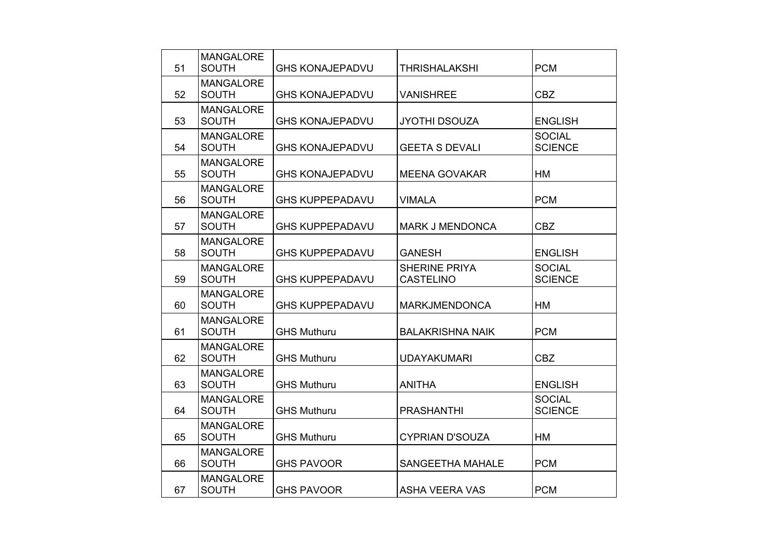| 51 | <b>MANGALORE</b><br><b>SOUTH</b> | <b>GHS KONAJEPADVU</b> | THRISHALAKSHI                            | <b>PCM</b>                      |
|----|----------------------------------|------------------------|------------------------------------------|---------------------------------|
| 52 | <b>MANGALORE</b><br><b>SOUTH</b> | <b>GHS KONAJEPADVU</b> | <b>VANISHREE</b>                         | <b>CBZ</b>                      |
| 53 | <b>MANGALORE</b><br><b>SOUTH</b> | <b>GHS KONAJEPADVU</b> | <b>JYOTHI DSOUZA</b>                     | <b>ENGLISH</b>                  |
| 54 | <b>MANGALORE</b><br><b>SOUTH</b> | <b>GHS KONAJEPADVU</b> | <b>GEETA S DEVALI</b>                    | <b>SOCIAL</b><br><b>SCIENCE</b> |
| 55 | <b>MANGALORE</b><br><b>SOUTH</b> | <b>GHS KONAJEPADVU</b> | <b>MEENA GOVAKAR</b>                     | HM                              |
| 56 | <b>MANGALORE</b><br><b>SOUTH</b> | <b>GHS KUPPEPADAVU</b> | <b>VIMALA</b>                            | <b>PCM</b>                      |
| 57 | <b>MANGALORE</b><br><b>SOUTH</b> | <b>GHS KUPPEPADAVU</b> | <b>MARK J MENDONCA</b>                   | <b>CBZ</b>                      |
| 58 | <b>MANGALORE</b><br><b>SOUTH</b> | <b>GHS KUPPEPADAVU</b> | <b>GANESH</b>                            | <b>ENGLISH</b>                  |
| 59 | <b>MANGALORE</b><br><b>SOUTH</b> | <b>GHS KUPPEPADAVU</b> | <b>SHERINE PRIYA</b><br><b>CASTELINO</b> | <b>SOCIAL</b><br><b>SCIENCE</b> |
| 60 | <b>MANGALORE</b><br><b>SOUTH</b> | <b>GHS KUPPEPADAVU</b> | <b>MARKJMENDONCA</b>                     | <b>HM</b>                       |
| 61 | <b>MANGALORE</b><br><b>SOUTH</b> | <b>GHS Muthuru</b>     | <b>BALAKRISHNA NAIK</b>                  | <b>PCM</b>                      |
| 62 | <b>MANGALORE</b><br><b>SOUTH</b> | <b>GHS Muthuru</b>     | <b>UDAYAKUMARI</b>                       | <b>CBZ</b>                      |
| 63 | <b>MANGALORE</b><br><b>SOUTH</b> | <b>GHS Muthuru</b>     | <b>ANITHA</b>                            | <b>ENGLISH</b>                  |
| 64 | <b>MANGALORE</b><br><b>SOUTH</b> | <b>GHS Muthuru</b>     | <b>PRASHANTHI</b>                        | <b>SOCIAL</b><br><b>SCIENCE</b> |
| 65 | <b>MANGALORE</b><br><b>SOUTH</b> | <b>GHS Muthuru</b>     | <b>CYPRIAN D'SOUZA</b>                   | <b>HM</b>                       |
| 66 | <b>MANGALORE</b><br><b>SOUTH</b> | <b>GHS PAVOOR</b>      | <b>SANGEETHA MAHALE</b>                  | <b>PCM</b>                      |
| 67 | <b>MANGALORE</b><br><b>SOUTH</b> | <b>GHS PAVOOR</b>      | <b>ASHA VEERA VAS</b>                    | <b>PCM</b>                      |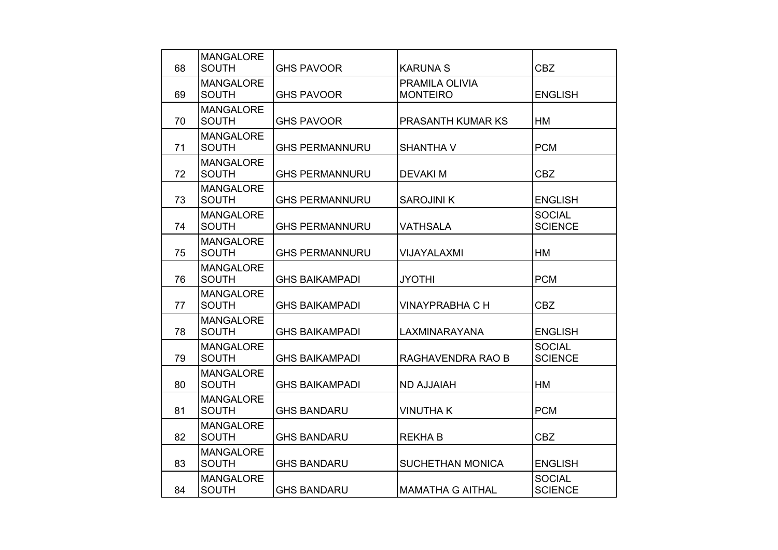|    | <b>MANGALORE</b> |                       |                         |                |
|----|------------------|-----------------------|-------------------------|----------------|
| 68 | <b>SOUTH</b>     | <b>GHS PAVOOR</b>     | <b>KARUNA S</b>         | <b>CBZ</b>     |
|    | <b>MANGALORE</b> |                       | PRAMILA OLIVIA          |                |
| 69 | <b>SOUTH</b>     | <b>GHS PAVOOR</b>     | <b>MONTEIRO</b>         | <b>ENGLISH</b> |
|    | <b>MANGALORE</b> |                       |                         |                |
| 70 | <b>SOUTH</b>     | <b>GHS PAVOOR</b>     | PRASANTH KUMAR KS       | HM             |
|    | <b>MANGALORE</b> |                       |                         |                |
| 71 | <b>SOUTH</b>     | <b>GHS PERMANNURU</b> | <b>SHANTHA V</b>        | <b>PCM</b>     |
|    | <b>MANGALORE</b> |                       |                         |                |
| 72 | <b>SOUTH</b>     | <b>GHS PERMANNURU</b> | <b>DEVAKIM</b>          | <b>CBZ</b>     |
|    | <b>MANGALORE</b> |                       |                         |                |
| 73 | <b>SOUTH</b>     | <b>GHS PERMANNURU</b> | <b>SAROJINI K</b>       | <b>ENGLISH</b> |
|    | <b>MANGALORE</b> |                       |                         | <b>SOCIAL</b>  |
| 74 | <b>SOUTH</b>     | <b>GHS PERMANNURU</b> | <b>VATHSALA</b>         | <b>SCIENCE</b> |
|    | <b>MANGALORE</b> |                       |                         |                |
| 75 | <b>SOUTH</b>     | <b>GHS PERMANNURU</b> | <b>VIJAYALAXMI</b>      | HM             |
|    | <b>MANGALORE</b> |                       |                         |                |
| 76 | <b>SOUTH</b>     | <b>GHS BAIKAMPADI</b> | <b>JYOTHI</b>           | <b>PCM</b>     |
|    | <b>MANGALORE</b> |                       |                         |                |
| 77 | <b>SOUTH</b>     | <b>GHS BAIKAMPADI</b> | <b>VINAYPRABHA C H</b>  | <b>CBZ</b>     |
|    | <b>MANGALORE</b> |                       |                         |                |
| 78 | <b>SOUTH</b>     | <b>GHS BAIKAMPADI</b> | LAXMINARAYANA           | <b>ENGLISH</b> |
|    | <b>MANGALORE</b> |                       |                         | <b>SOCIAL</b>  |
| 79 | <b>SOUTH</b>     | <b>GHS BAIKAMPADI</b> | RAGHAVENDRA RAO B       | <b>SCIENCE</b> |
|    | <b>MANGALORE</b> |                       |                         |                |
| 80 | <b>SOUTH</b>     | <b>GHS BAIKAMPADI</b> | <b>ND AJJAIAH</b>       | HM             |
|    | <b>MANGALORE</b> |                       |                         |                |
| 81 | <b>SOUTH</b>     | <b>GHS BANDARU</b>    | <b>VINUTHAK</b>         | <b>PCM</b>     |
|    | <b>MANGALORE</b> |                       |                         |                |
| 82 | <b>SOUTH</b>     | <b>GHS BANDARU</b>    | <b>REKHAB</b>           | <b>CBZ</b>     |
|    | <b>MANGALORE</b> |                       |                         |                |
| 83 | <b>SOUTH</b>     | <b>GHS BANDARU</b>    | <b>SUCHETHAN MONICA</b> | <b>ENGLISH</b> |
|    | <b>MANGALORE</b> |                       |                         | <b>SOCIAL</b>  |
| 84 | <b>SOUTH</b>     | <b>GHS BANDARU</b>    | <b>MAMATHA G AITHAL</b> | <b>SCIENCE</b> |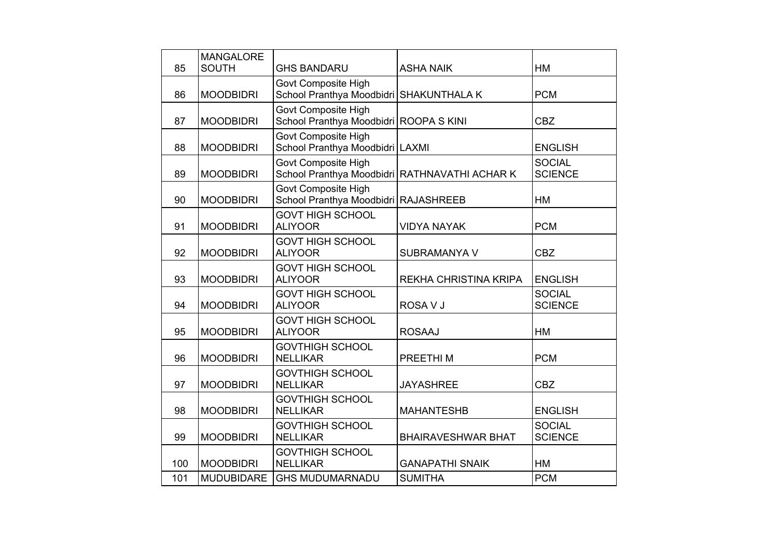| 85  | <b>MANGALORE</b><br><b>SOUTH</b> | <b>GHS BANDARU</b>                                                   | <b>ASHA NAIK</b>                              | HM                              |
|-----|----------------------------------|----------------------------------------------------------------------|-----------------------------------------------|---------------------------------|
|     |                                  |                                                                      |                                               |                                 |
| 86  | <b>MOODBIDRI</b>                 | Govt Composite High<br>School Pranthya Moodbidri SHAKUNTHALA K       |                                               | <b>PCM</b>                      |
| 87  | <b>MOODBIDRI</b>                 | <b>Govt Composite High</b><br>School Pranthya Moodbidri ROOPA S KINI |                                               | <b>CBZ</b>                      |
| 88  | <b>MOODBIDRI</b>                 | Govt Composite High<br>School Pranthya Moodbidri LAXMI               |                                               | <b>ENGLISH</b>                  |
| 89  | <b>MOODBIDRI</b>                 | <b>Govt Composite High</b>                                           | School Pranthya Moodbidri RATHNAVATHI ACHAR K | <b>SOCIAL</b><br><b>SCIENCE</b> |
| 90  | <b>MOODBIDRI</b>                 | <b>Govt Composite High</b><br>School Pranthya Moodbidri RAJASHREEB   |                                               | <b>HM</b>                       |
| 91  | <b>MOODBIDRI</b>                 | <b>GOVT HIGH SCHOOL</b><br><b>ALIYOOR</b>                            | <b>VIDYA NAYAK</b>                            | <b>PCM</b>                      |
| 92  | <b>MOODBIDRI</b>                 | <b>GOVT HIGH SCHOOL</b><br><b>ALIYOOR</b>                            | SUBRAMANYA V                                  | <b>CBZ</b>                      |
| 93  | <b>MOODBIDRI</b>                 | <b>GOVT HIGH SCHOOL</b><br><b>ALIYOOR</b>                            | <b>REKHA CHRISTINA KRIPA</b>                  | <b>ENGLISH</b>                  |
| 94  | <b>MOODBIDRI</b>                 | <b>GOVT HIGH SCHOOL</b><br><b>ALIYOOR</b>                            | ROSA V J                                      | <b>SOCIAL</b><br><b>SCIENCE</b> |
| 95  | <b>MOODBIDRI</b>                 | <b>GOVT HIGH SCHOOL</b><br><b>ALIYOOR</b>                            | <b>ROSAAJ</b>                                 | HM                              |
| 96  | <b>MOODBIDRI</b>                 | <b>GOVTHIGH SCHOOL</b><br><b>NELLIKAR</b>                            | PREETHI M                                     | <b>PCM</b>                      |
| 97  | <b>MOODBIDRI</b>                 | <b>GOVTHIGH SCHOOL</b><br><b>NELLIKAR</b>                            | <b>JAYASHREE</b>                              | <b>CBZ</b>                      |
| 98  | <b>MOODBIDRI</b>                 | <b>GOVTHIGH SCHOOL</b><br><b>NELLIKAR</b>                            | <b>MAHANTESHB</b>                             | <b>ENGLISH</b>                  |
| 99  | <b>MOODBIDRI</b>                 | <b>GOVTHIGH SCHOOL</b><br><b>NELLIKAR</b>                            | <b>BHAIRAVESHWAR BHAT</b>                     | <b>SOCIAL</b><br><b>SCIENCE</b> |
| 100 | <b>MOODBIDRI</b>                 | <b>GOVTHIGH SCHOOL</b><br><b>NELLIKAR</b>                            | <b>GANAPATHI SNAIK</b>                        | <b>HM</b>                       |
| 101 | <b>MUDUBIDARE</b>                | <b>GHS MUDUMARNADU</b>                                               | <b>SUMITHA</b>                                | <b>PCM</b>                      |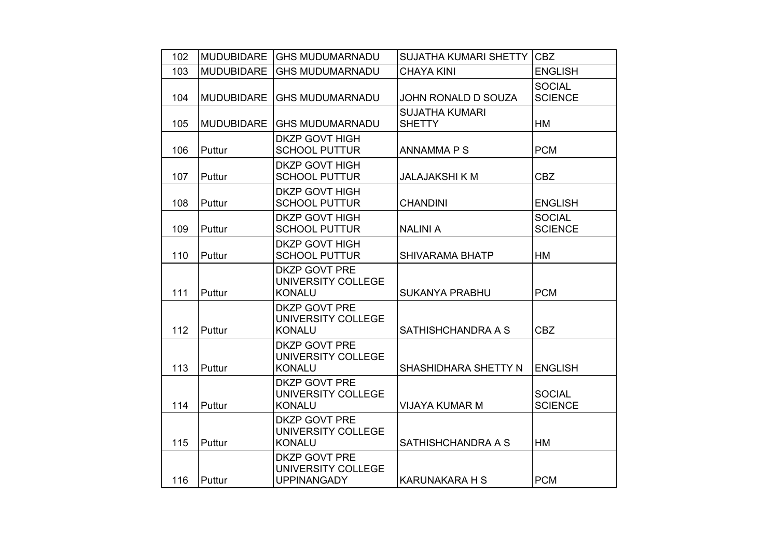| 102 | <b>MUDUBIDARE</b> | <b>GHS MUDUMARNADU</b>                                      | <b>SUJATHA KUMARI SHETTY</b>           | <b>CBZ</b>                      |
|-----|-------------------|-------------------------------------------------------------|----------------------------------------|---------------------------------|
| 103 | <b>MUDUBIDARE</b> | <b>GHS MUDUMARNADU</b>                                      | <b>CHAYA KINI</b>                      | <b>ENGLISH</b>                  |
| 104 | <b>MUDUBIDARE</b> | <b>GHS MUDUMARNADU</b>                                      | JOHN RONALD D SOUZA                    | <b>SOCIAL</b><br><b>SCIENCE</b> |
| 105 | <b>MUDUBIDARE</b> | <b>GHS MUDUMARNADU</b>                                      | <b>SUJATHA KUMARI</b><br><b>SHETTY</b> | <b>HM</b>                       |
| 106 | Puttur            | <b>DKZP GOVT HIGH</b><br><b>SCHOOL PUTTUR</b>               | ANNAMMA P S                            | <b>PCM</b>                      |
| 107 | Puttur            | <b>DKZP GOVT HIGH</b><br><b>SCHOOL PUTTUR</b>               | <b>JALAJAKSHI K M</b>                  | <b>CBZ</b>                      |
| 108 | Puttur            | <b>DKZP GOVT HIGH</b><br><b>SCHOOL PUTTUR</b>               | <b>CHANDINI</b>                        | <b>ENGLISH</b>                  |
| 109 | Puttur            | <b>DKZP GOVT HIGH</b><br><b>SCHOOL PUTTUR</b>               | <b>NALINI A</b>                        | <b>SOCIAL</b><br><b>SCIENCE</b> |
| 110 | Puttur            | <b>DKZP GOVT HIGH</b><br><b>SCHOOL PUTTUR</b>               | <b>SHIVARAMA BHATP</b>                 | НM                              |
| 111 | Puttur            | <b>DKZP GOVT PRE</b><br>UNIVERSITY COLLEGE<br><b>KONALU</b> | <b>SUKANYA PRABHU</b>                  | <b>PCM</b>                      |
| 112 | Puttur            | <b>DKZP GOVT PRE</b><br>UNIVERSITY COLLEGE<br><b>KONALU</b> | SATHISHCHANDRA A S                     | <b>CBZ</b>                      |
| 113 | Puttur            | <b>DKZP GOVT PRE</b><br>UNIVERSITY COLLEGE<br><b>KONALU</b> | <b>SHASHIDHARA SHETTY N</b>            | <b>ENGLISH</b>                  |
| 114 | Puttur            | <b>DKZP GOVT PRE</b><br>UNIVERSITY COLLEGE<br><b>KONALU</b> | <b>VIJAYA KUMAR M</b>                  | <b>SOCIAL</b><br><b>SCIENCE</b> |
| 115 | Puttur            | <b>DKZP GOVT PRE</b><br>UNIVERSITY COLLEGE<br><b>KONALU</b> | SATHISHCHANDRA A S                     | HM                              |
| 116 | Puttur            | DKZP GOVT PRE<br>UNIVERSITY COLLEGE<br><b>UPPINANGADY</b>   | <b>KARUNAKARA H S</b>                  | <b>PCM</b>                      |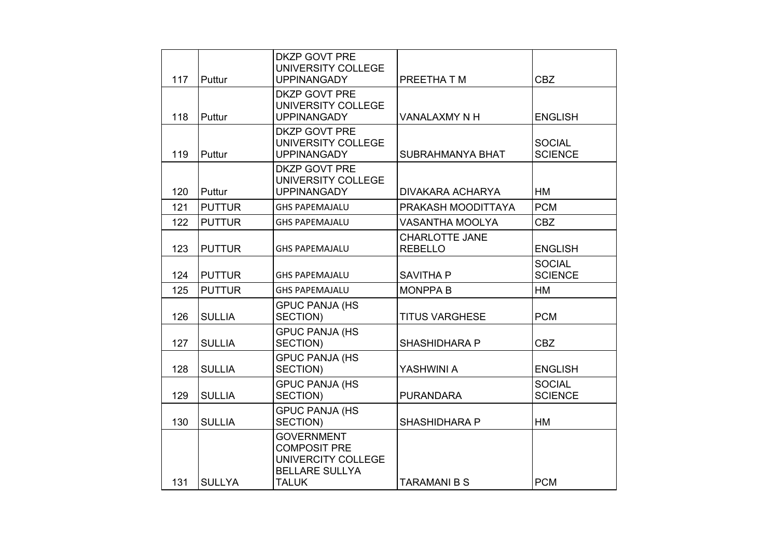|     |               | <b>DKZP GOVT PRE</b><br>UNIVERSITY COLLEGE                                                              |                                         |                                 |
|-----|---------------|---------------------------------------------------------------------------------------------------------|-----------------------------------------|---------------------------------|
| 117 | Puttur        | <b>UPPINANGADY</b>                                                                                      | PREETHA T M                             | <b>CBZ</b>                      |
| 118 | Puttur        | <b>DKZP GOVT PRE</b><br>UNIVERSITY COLLEGE<br><b>UPPINANGADY</b>                                        | VANALAXMY N H                           | <b>ENGLISH</b>                  |
| 119 | Puttur        | <b>DKZP GOVT PRE</b><br>UNIVERSITY COLLEGE<br><b>UPPINANGADY</b>                                        | SUBRAHMANYA BHAT                        | <b>SOCIAL</b><br><b>SCIENCE</b> |
| 120 | Puttur        | <b>DKZP GOVT PRE</b><br>UNIVERSITY COLLEGE<br><b>UPPINANGADY</b>                                        | <b>DIVAKARA ACHARYA</b>                 | HM                              |
| 121 | <b>PUTTUR</b> | <b>GHS PAPEMAJALU</b>                                                                                   | PRAKASH MOODITTAYA                      | <b>PCM</b>                      |
| 122 | <b>PUTTUR</b> | <b>GHS PAPEMAJALU</b>                                                                                   | <b>VASANTHA MOOLYA</b>                  | <b>CBZ</b>                      |
| 123 | <b>PUTTUR</b> | <b>GHS PAPEMAJALU</b>                                                                                   | <b>CHARLOTTE JANE</b><br><b>REBELLO</b> | <b>ENGLISH</b>                  |
| 124 | <b>PUTTUR</b> | <b>GHS PAPEMAJALU</b>                                                                                   | <b>SAVITHA P</b>                        | <b>SOCIAL</b><br><b>SCIENCE</b> |
| 125 | <b>PUTTUR</b> | <b>GHS PAPEMAJALU</b>                                                                                   | <b>MONPPA B</b>                         | <b>HM</b>                       |
| 126 | <b>SULLIA</b> | <b>GPUC PANJA (HS</b><br>SECTION)                                                                       | <b>TITUS VARGHESE</b>                   | <b>PCM</b>                      |
| 127 | <b>SULLIA</b> | <b>GPUC PANJA (HS</b><br>SECTION)                                                                       | <b>SHASHIDHARA P</b>                    | <b>CBZ</b>                      |
| 128 | <b>SULLIA</b> | <b>GPUC PANJA (HS</b><br>SECTION)                                                                       | YASHWINI A                              | <b>ENGLISH</b>                  |
| 129 | <b>SULLIA</b> | <b>GPUC PANJA (HS</b><br>SECTION)                                                                       | <b>PURANDARA</b>                        | <b>SOCIAL</b><br><b>SCIENCE</b> |
| 130 | <b>SULLIA</b> | <b>GPUC PANJA (HS</b><br>SECTION)                                                                       | <b>SHASHIDHARA P</b>                    | HM                              |
| 131 | <b>SULLYA</b> | <b>GOVERNMENT</b><br><b>COMPOSIT PRE</b><br>UNIVERCITY COLLEGE<br><b>BELLARE SULLYA</b><br><b>TALUK</b> | <b>TARAMANI B S</b>                     | <b>PCM</b>                      |